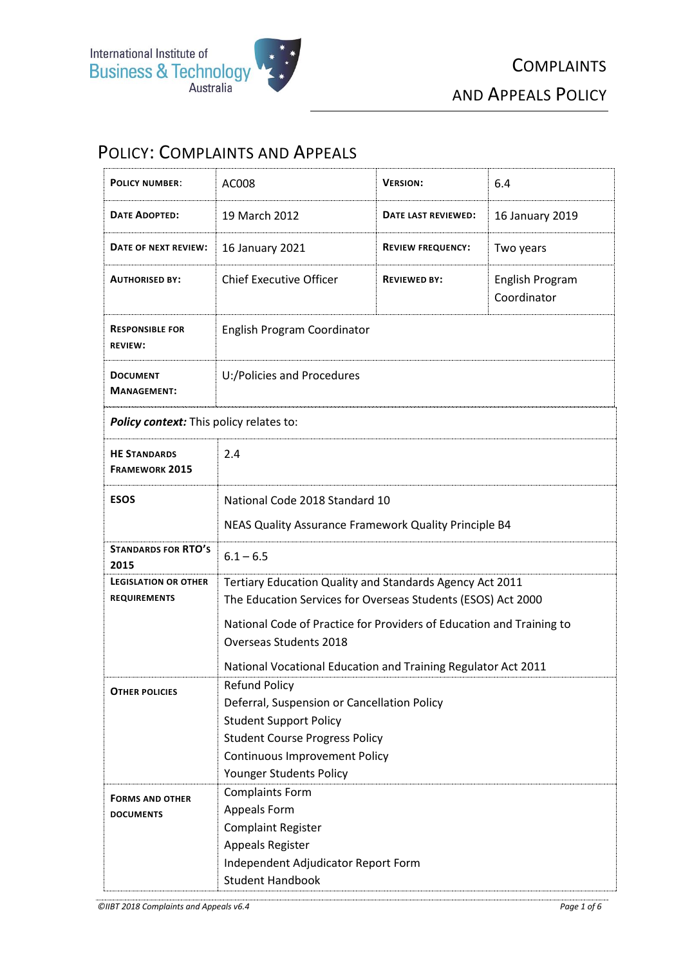

## POLICY: COMPLAINTS AND APPEALS

| <b>POLICY NUMBER:</b>                              | AC008                                                                                                                                                                                                                                                                                       | <b>VERSION:</b>          | 6.4                            |
|----------------------------------------------------|---------------------------------------------------------------------------------------------------------------------------------------------------------------------------------------------------------------------------------------------------------------------------------------------|--------------------------|--------------------------------|
| <b>DATE ADOPTED:</b>                               | 19 March 2012                                                                                                                                                                                                                                                                               | DATE LAST REVIEWED:      | 16 January 2019                |
| DATE OF NEXT REVIEW:                               | 16 January 2021                                                                                                                                                                                                                                                                             | <b>REVIEW FREQUENCY:</b> | Two years                      |
| <b>AUTHORISED BY:</b>                              | <b>Chief Executive Officer</b>                                                                                                                                                                                                                                                              | <b>REVIEWED BY:</b>      | English Program<br>Coordinator |
| <b>RESPONSIBLE FOR</b><br><b>REVIEW:</b>           | English Program Coordinator                                                                                                                                                                                                                                                                 |                          |                                |
| <b>DOCUMENT</b><br><b>MANAGEMENT:</b>              | U:/Policies and Procedures                                                                                                                                                                                                                                                                  |                          |                                |
| Policy context: This policy relates to:            |                                                                                                                                                                                                                                                                                             |                          |                                |
| <b>HE STANDARDS</b><br><b>FRAMEWORK 2015</b>       | 2.4                                                                                                                                                                                                                                                                                         |                          |                                |
| <b>ESOS</b>                                        | National Code 2018 Standard 10<br>NEAS Quality Assurance Framework Quality Principle B4                                                                                                                                                                                                     |                          |                                |
| <b>STANDARDS FOR RTO'S</b><br>2015                 | $6.1 - 6.5$                                                                                                                                                                                                                                                                                 |                          |                                |
| <b>LEGISLATION OR OTHER</b><br><b>REQUIREMENTS</b> | Tertiary Education Quality and Standards Agency Act 2011<br>The Education Services for Overseas Students (ESOS) Act 2000<br>National Code of Practice for Providers of Education and Training to<br>Overseas Students 2018<br>National Vocational Education and Training Regulator Act 2011 |                          |                                |
| <b>OTHER POLICIES</b>                              | Refund Policy<br>Deferral, Suspension or Cancellation Policy<br><b>Student Support Policy</b><br><b>Student Course Progress Policy</b><br><b>Continuous Improvement Policy</b><br>Younger Students Policy                                                                                   |                          |                                |
| <b>FORMS AND OTHER</b><br><b>DOCUMENTS</b>         | <b>Complaints Form</b><br>Appeals Form<br><b>Complaint Register</b><br>Appeals Register<br>Independent Adjudicator Report Form<br><b>Student Handbook</b>                                                                                                                                   |                          |                                |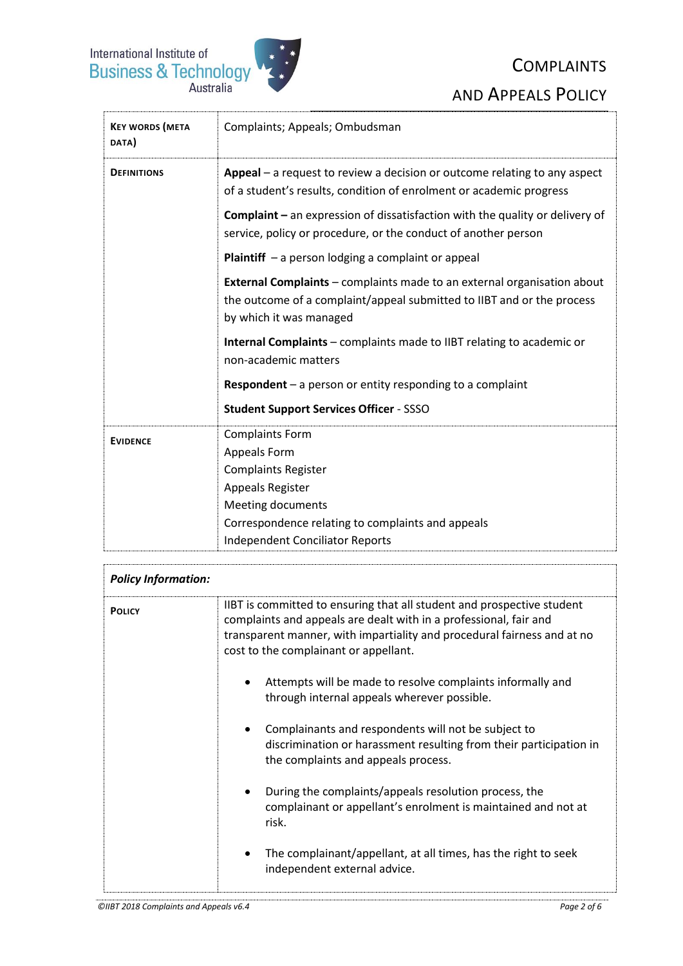

# **COMPLAINTS** AND APPEALS POLICY

| <b>KEY WORDS (META</b><br>DATA) | Complaints; Appeals; Ombudsman                                                                                                                                                      |  |
|---------------------------------|-------------------------------------------------------------------------------------------------------------------------------------------------------------------------------------|--|
| <b>DEFINITIONS</b>              | <b>Appeal</b> $-$ a request to review a decision or outcome relating to any aspect<br>of a student's results, condition of enrolment or academic progress                           |  |
|                                 | <b>Complaint</b> $-$ an expression of dissatisfaction with the quality or delivery of<br>service, policy or procedure, or the conduct of another person                             |  |
|                                 | <b>Plaintiff</b> $-$ a person lodging a complaint or appeal                                                                                                                         |  |
|                                 | <b>External Complaints</b> - complaints made to an external organisation about<br>the outcome of a complaint/appeal submitted to IIBT and or the process<br>by which it was managed |  |
|                                 | <b>Internal Complaints</b> – complaints made to IIBT relating to academic or<br>non-academic matters                                                                                |  |
|                                 | <b>Respondent</b> $-$ a person or entity responding to a complaint                                                                                                                  |  |
|                                 | <b>Student Support Services Officer - SSSO</b>                                                                                                                                      |  |
| <b>EVIDENCE</b>                 | <b>Complaints Form</b><br>Appeals Form<br><b>Complaints Register</b><br>Appeals Register<br><b>Meeting documents</b><br>Correspondence relating to complaints and appeals           |  |
|                                 | <b>Independent Conciliator Reports</b>                                                                                                                                              |  |
|                                 |                                                                                                                                                                                     |  |

| <b>Policy Information:</b> |                                                                                                                                                                                                                                                                 |
|----------------------------|-----------------------------------------------------------------------------------------------------------------------------------------------------------------------------------------------------------------------------------------------------------------|
| <b>POLICY</b>              | IIBT is committed to ensuring that all student and prospective student<br>complaints and appeals are dealt with in a professional, fair and<br>transparent manner, with impartiality and procedural fairness and at no<br>cost to the complainant or appellant. |
|                            | Attempts will be made to resolve complaints informally and<br>through internal appeals wherever possible.                                                                                                                                                       |
|                            | Complainants and respondents will not be subject to<br>discrimination or harassment resulting from their participation in<br>the complaints and appeals process.                                                                                                |
|                            | During the complaints/appeals resolution process, the<br>complainant or appellant's enrolment is maintained and not at<br>risk.                                                                                                                                 |
|                            | The complainant/appellant, at all times, has the right to seek<br>$\bullet$<br>independent external advice.                                                                                                                                                     |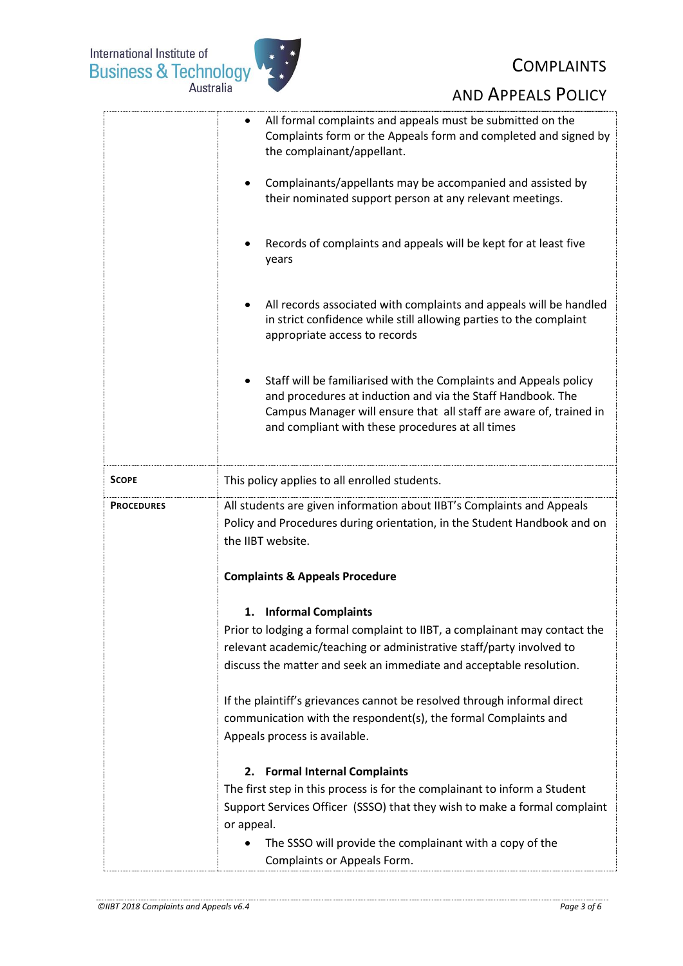

## **COMPLAINTS**

|                   | All formal complaints and appeals must be submitted on the<br>Complaints form or the Appeals form and completed and signed by<br>the complainant/appellant.<br>Complainants/appellants may be accompanied and assisted by<br>their nominated support person at any relevant meetings. |  |
|-------------------|---------------------------------------------------------------------------------------------------------------------------------------------------------------------------------------------------------------------------------------------------------------------------------------|--|
|                   | Records of complaints and appeals will be kept for at least five<br>years                                                                                                                                                                                                             |  |
|                   | All records associated with complaints and appeals will be handled<br>in strict confidence while still allowing parties to the complaint<br>appropriate access to records                                                                                                             |  |
|                   | Staff will be familiarised with the Complaints and Appeals policy<br>and procedures at induction and via the Staff Handbook. The<br>Campus Manager will ensure that all staff are aware of, trained in<br>and compliant with these procedures at all times                            |  |
| SCOPE             | This policy applies to all enrolled students.                                                                                                                                                                                                                                         |  |
| <b>PROCEDURES</b> | All students are given information about IIBT's Complaints and Appeals<br>Policy and Procedures during orientation, in the Student Handbook and on<br>the IIBT website.                                                                                                               |  |
|                   | <b>Complaints &amp; Appeals Procedure</b>                                                                                                                                                                                                                                             |  |
|                   | 1. Informal Complaints<br>Prior to lodging a formal complaint to IIBT, a complainant may contact the<br>relevant academic/teaching or administrative staff/party involved to<br>discuss the matter and seek an immediate and acceptable resolution.                                   |  |
|                   | If the plaintiff's grievances cannot be resolved through informal direct<br>communication with the respondent(s), the formal Complaints and<br>Appeals process is available.                                                                                                          |  |
|                   | <b>Formal Internal Complaints</b><br>2.                                                                                                                                                                                                                                               |  |
|                   | The first step in this process is for the complainant to inform a Student<br>Support Services Officer (SSSO) that they wish to make a formal complaint<br>or appeal.                                                                                                                  |  |
|                   | The SSSO will provide the complainant with a copy of the<br>Complaints or Appeals Form.                                                                                                                                                                                               |  |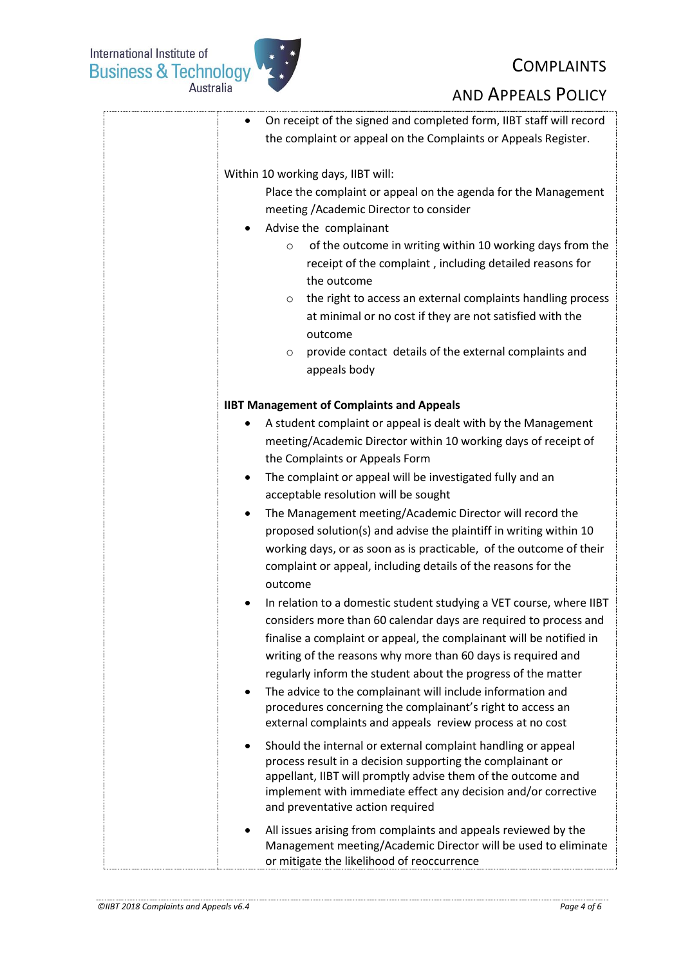International Institute of<br>Business & Technology



## **COMPLAINTS**

|                                                  | On receipt of the signed and completed form, IIBT staff will record                                                              |
|--------------------------------------------------|----------------------------------------------------------------------------------------------------------------------------------|
|                                                  | the complaint or appeal on the Complaints or Appeals Register.                                                                   |
|                                                  |                                                                                                                                  |
| Within 10 working days, IIBT will:               |                                                                                                                                  |
|                                                  | Place the complaint or appeal on the agenda for the Management                                                                   |
|                                                  | meeting / Academic Director to consider                                                                                          |
| Advise the complainant                           |                                                                                                                                  |
| $\circ$                                          | of the outcome in writing within 10 working days from the                                                                        |
|                                                  | receipt of the complaint, including detailed reasons for                                                                         |
| the outcome                                      |                                                                                                                                  |
| O                                                | the right to access an external complaints handling process                                                                      |
|                                                  | at minimal or no cost if they are not satisfied with the                                                                         |
| outcome                                          |                                                                                                                                  |
| $\circ$                                          | provide contact details of the external complaints and                                                                           |
| appeals body                                     |                                                                                                                                  |
|                                                  |                                                                                                                                  |
| <b>IIBT Management of Complaints and Appeals</b> |                                                                                                                                  |
| ٠                                                | A student complaint or appeal is dealt with by the Management                                                                    |
|                                                  | meeting/Academic Director within 10 working days of receipt of                                                                   |
| the Complaints or Appeals Form                   |                                                                                                                                  |
| ٠                                                | The complaint or appeal will be investigated fully and an                                                                        |
|                                                  | acceptable resolution will be sought                                                                                             |
| ٠                                                | The Management meeting/Academic Director will record the                                                                         |
|                                                  | proposed solution(s) and advise the plaintiff in writing within 10                                                               |
|                                                  | working days, or as soon as is practicable, of the outcome of their                                                              |
|                                                  | complaint or appeal, including details of the reasons for the                                                                    |
| outcome                                          |                                                                                                                                  |
|                                                  | In relation to a domestic student studying a VET course, where IIBT                                                              |
|                                                  | considers more than 60 calendar days are required to process and                                                                 |
|                                                  | finalise a complaint or appeal, the complainant will be notified in                                                              |
|                                                  | writing of the reasons why more than 60 days is required and                                                                     |
|                                                  | regularly inform the student about the progress of the matter                                                                    |
| $\bullet$                                        | The advice to the complainant will include information and                                                                       |
|                                                  | procedures concerning the complainant's right to access an                                                                       |
|                                                  | external complaints and appeals review process at no cost                                                                        |
|                                                  | Should the internal or external complaint handling or appeal                                                                     |
|                                                  | process result in a decision supporting the complainant or                                                                       |
|                                                  | appellant, IIBT will promptly advise them of the outcome and                                                                     |
|                                                  | implement with immediate effect any decision and/or corrective                                                                   |
| and preventative action required                 |                                                                                                                                  |
|                                                  |                                                                                                                                  |
|                                                  | All issues arising from complaints and appeals reviewed by the<br>Management meeting/Academic Director will be used to eliminate |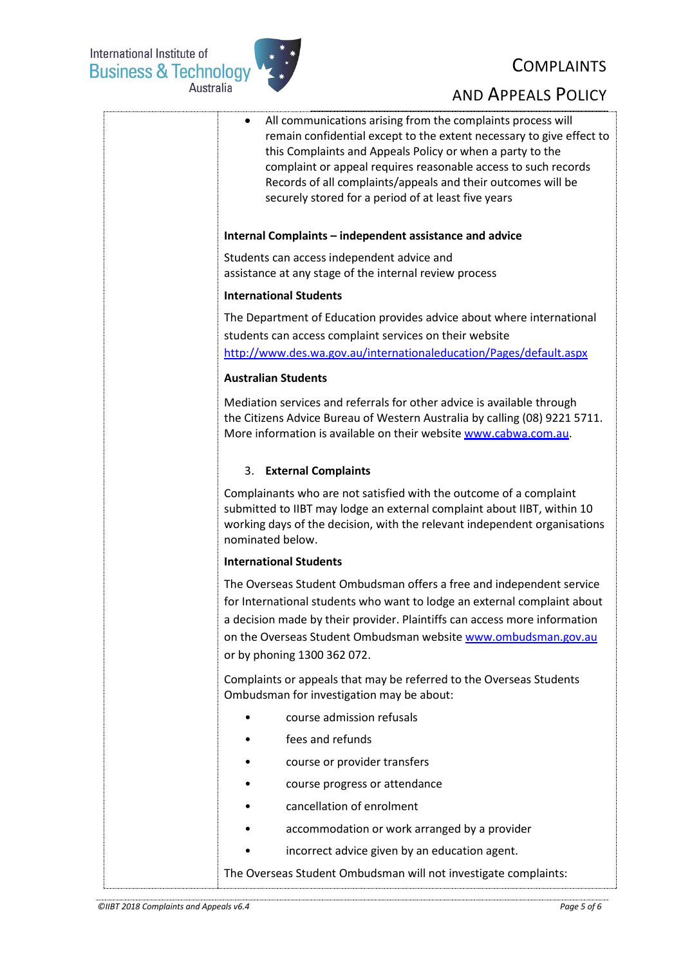International Institute of<br>Business & Technology<br>Australia



## **COMPLAINTS**

| All communications arising from the complaints process will<br>٠<br>remain confidential except to the extent necessary to give effect to<br>this Complaints and Appeals Policy or when a party to the<br>complaint or appeal requires reasonable access to such records<br>Records of all complaints/appeals and their outcomes will be<br>securely stored for a period of at least five years |
|------------------------------------------------------------------------------------------------------------------------------------------------------------------------------------------------------------------------------------------------------------------------------------------------------------------------------------------------------------------------------------------------|
| Internal Complaints - independent assistance and advice                                                                                                                                                                                                                                                                                                                                        |
| Students can access independent advice and<br>assistance at any stage of the internal review process                                                                                                                                                                                                                                                                                           |
| <b>International Students</b>                                                                                                                                                                                                                                                                                                                                                                  |
| The Department of Education provides advice about where international<br>students can access complaint services on their website<br>http://www.des.wa.gov.au/internationaleducation/Pages/default.aspx                                                                                                                                                                                         |
| <b>Australian Students</b>                                                                                                                                                                                                                                                                                                                                                                     |
| Mediation services and referrals for other advice is available through<br>the Citizens Advice Bureau of Western Australia by calling (08) 9221 5711.<br>More information is available on their website www.cabwa.com.au.                                                                                                                                                                       |
| 3. External Complaints                                                                                                                                                                                                                                                                                                                                                                         |
| Complainants who are not satisfied with the outcome of a complaint<br>submitted to IIBT may lodge an external complaint about IIBT, within 10<br>working days of the decision, with the relevant independent organisations<br>nominated below.                                                                                                                                                 |
| <b>International Students</b>                                                                                                                                                                                                                                                                                                                                                                  |
| The Overseas Student Ombudsman offers a free and independent service<br>for International students who want to lodge an external complaint about<br>a decision made by their provider. Plaintiffs can access more information<br>on the Overseas Student Ombudsman website www.ombudsman.gov.au<br>or by phoning 1300 362 072.                                                                 |
| Complaints or appeals that may be referred to the Overseas Students<br>Ombudsman for investigation may be about:                                                                                                                                                                                                                                                                               |
| course admission refusals                                                                                                                                                                                                                                                                                                                                                                      |
| fees and refunds                                                                                                                                                                                                                                                                                                                                                                               |
| course or provider transfers                                                                                                                                                                                                                                                                                                                                                                   |
| course progress or attendance                                                                                                                                                                                                                                                                                                                                                                  |
| cancellation of enrolment                                                                                                                                                                                                                                                                                                                                                                      |
| accommodation or work arranged by a provider                                                                                                                                                                                                                                                                                                                                                   |
| incorrect advice given by an education agent.                                                                                                                                                                                                                                                                                                                                                  |
| The Overseas Student Ombudsman will not investigate complaints:                                                                                                                                                                                                                                                                                                                                |